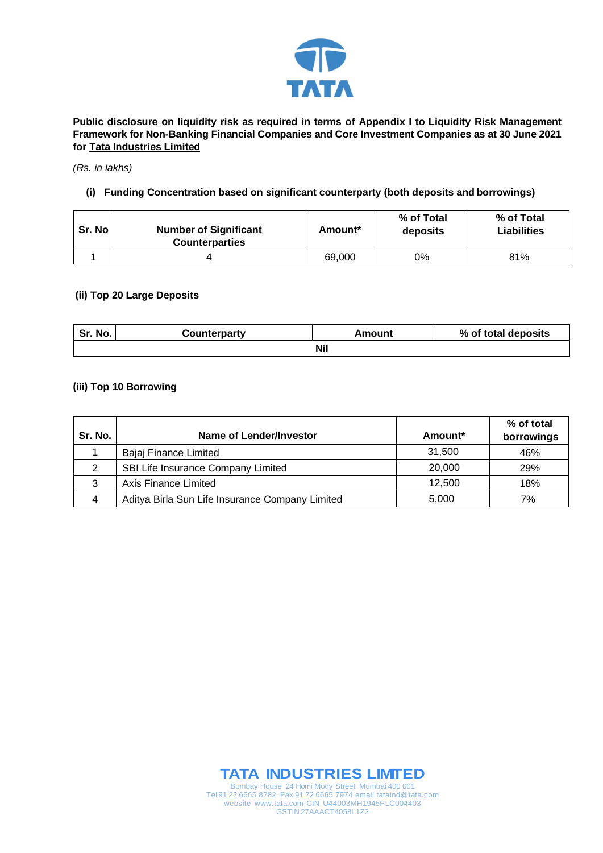

**Public disclosure on liquidity risk as required in terms of Appendix I to Liquidity Risk Management Framework for Non-Banking Financial Companies and Core Investment Companies as at 30 June 2021 for Tata Industries Limited**

#### *(Rs. in lakhs)*

## **(i) Funding Concentration based on significant counterparty (both deposits and borrowings)**

| Sr. No | <b>Number of Significant</b><br><b>Counterparties</b> | Amount* | % of Total<br>deposits | % of Total<br><b>Liabilities</b> |
|--------|-------------------------------------------------------|---------|------------------------|----------------------------------|
|        |                                                       | 69,000  | 0%                     | 81%                              |

### **(ii) Top 20 Large Deposits**

| Sr. No.    | Counterparty | Amount | % of total deposits |  |
|------------|--------------|--------|---------------------|--|
| <b>Nil</b> |              |        |                     |  |

## **(iii) Top 10 Borrowing**

| Sr. No. | Name of Lender/Investor                         | Amount* | % of total<br>borrowings |
|---------|-------------------------------------------------|---------|--------------------------|
|         | Bajaj Finance Limited                           | 31.500  | 46%                      |
| 2       | SBI Life Insurance Company Limited              | 20,000  | <b>29%</b>               |
| 3       | Axis Finance Limited                            | 12.500  | 18%                      |
| 4       | Aditya Birla Sun Life Insurance Company Limited | 5,000   | 7%                       |



Tel 91 22 6665 8282 Fax 91 22 6665 7974 email tataind@tata.com website www.tata.com CIN U44003MH1945PLC004403 GSTIN 27AAACT4058L1Z2